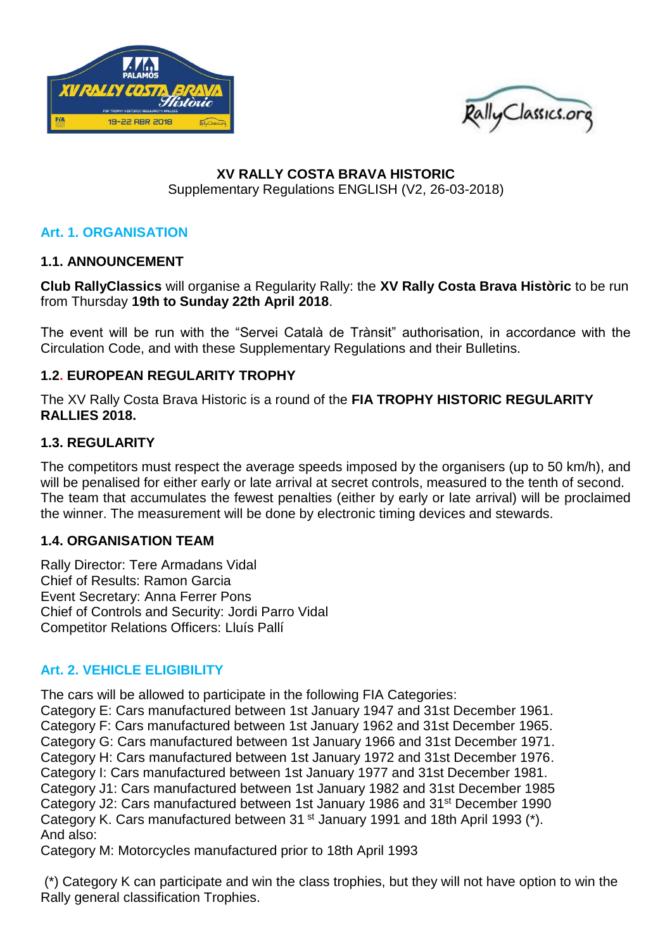



## **XV RALLY COSTA BRAVA HISTORIC** Supplementary Regulations ENGLISH (V2, 26-03-2018)

# **Art. 1. ORGANISATION**

## **1.1. ANNOUNCEMENT**

**Club RallyClassics** will organise a Regularity Rally: the **XV Rally Costa Brava Històric** to be run from Thursday **19th to Sunday 22th April 2018**.

The event will be run with the "Servei Català de Trànsit" authorisation, in accordance with the Circulation Code, and with these Supplementary Regulations and their Bulletins.

## **1.2. EUROPEAN REGULARITY TROPHY**

The XV Rally Costa Brava Historic is a round of the **FIA TROPHY HISTORIC REGULARITY RALLIES 2018.** 

## **1.3. REGULARITY**

The competitors must respect the average speeds imposed by the organisers (up to 50 km/h), and will be penalised for either early or late arrival at secret controls, measured to the tenth of second. The team that accumulates the fewest penalties (either by early or late arrival) will be proclaimed the winner. The measurement will be done by electronic timing devices and stewards.

### **1.4. ORGANISATION TEAM**

Rally Director: Tere Armadans Vidal Chief of Results: Ramon Garcia Event Secretary: Anna Ferrer Pons Chief of Controls and Security: Jordi Parro Vidal Competitor Relations Officers: Lluís Pallí

# **Art. 2. VEHICLE ELIGIBILITY**

The cars will be allowed to participate in the following FIA Categories:

Category E: Cars manufactured between 1st January 1947 and 31st December 1961. Category F: Cars manufactured between 1st January 1962 and 31st December 1965. Category G: Cars manufactured between 1st January 1966 and 31st December 1971. Category H: Cars manufactured between 1st January 1972 and 31st December 1976. Category I: Cars manufactured between 1st January 1977 and 31st December 1981. Category J1: Cars manufactured between 1st January 1982 and 31st December 1985 Category J2: Cars manufactured between 1st January 1986 and 31st December 1990 Category K. Cars manufactured between 31<sup>st</sup> January 1991 and 18th April 1993 (\*). And also:

Category M: Motorcycles manufactured prior to 18th April 1993

(\*) Category K can participate and win the class trophies, but they will not have option to win the Rally general classification Trophies.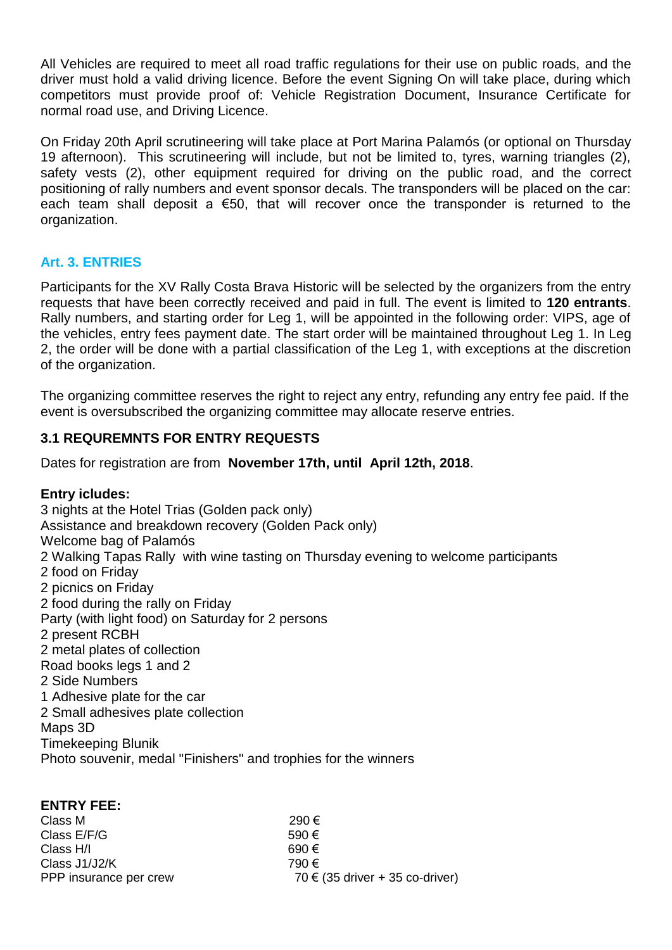All Vehicles are required to meet all road traffic regulations for their use on public roads, and the driver must hold a valid driving licence. Before the event Signing On will take place, during which competitors must provide proof of: Vehicle Registration Document, Insurance Certificate for normal road use, and Driving Licence.

On Friday 20th April scrutineering will take place at Port Marina Palamós (or optional on Thursday 19 afternoon). This scrutineering will include, but not be limited to, tyres, warning triangles (2), safety vests (2), other equipment required for driving on the public road, and the correct positioning of rally numbers and event sponsor decals. The transponders will be placed on the car: each team shall deposit a €50, that will recover once the transponder is returned to the organization.

## **Art. 3. ENTRIES**

Participants for the XV Rally Costa Brava Historic will be selected by the organizers from the entry requests that have been correctly received and paid in full. The event is limited to **120 entrants**. Rally numbers, and starting order for Leg 1, will be appointed in the following order: VIPS, age of the vehicles, entry fees payment date. The start order will be maintained throughout Leg 1. In Leg 2, the order will be done with a partial classification of the Leg 1, with exceptions at the discretion of the organization.

The organizing committee reserves the right to reject any entry, refunding any entry fee paid. If the event is oversubscribed the organizing committee may allocate reserve entries.

# **3.1 REQUREMNTS FOR ENTRY REQUESTS**

Dates for registration are from **November 17th, until April 12th, 2018**.

# **Entry icludes:**

**ENTRY FEE:**

3 nights at the Hotel Trias (Golden pack only) Assistance and breakdown recovery (Golden Pack only) Welcome bag of Palamós 2 Walking Tapas Rally with wine tasting on Thursday evening to welcome participants 2 food on Friday 2 picnics on Friday 2 food during the rally on Friday Party (with light food) on Saturday for 2 persons 2 present RCBH 2 metal plates of collection Road books legs 1 and 2 2 Side Numbers 1 Adhesive plate for the car 2 Small adhesives plate collection Maps 3D Timekeeping Blunik Photo souvenir, medal "Finishers" and trophies for the winners

| 290€                                |
|-------------------------------------|
| 590 €                               |
| 690€                                |
| 790€                                |
| 70 $\in$ (35 driver + 35 co-driver) |
|                                     |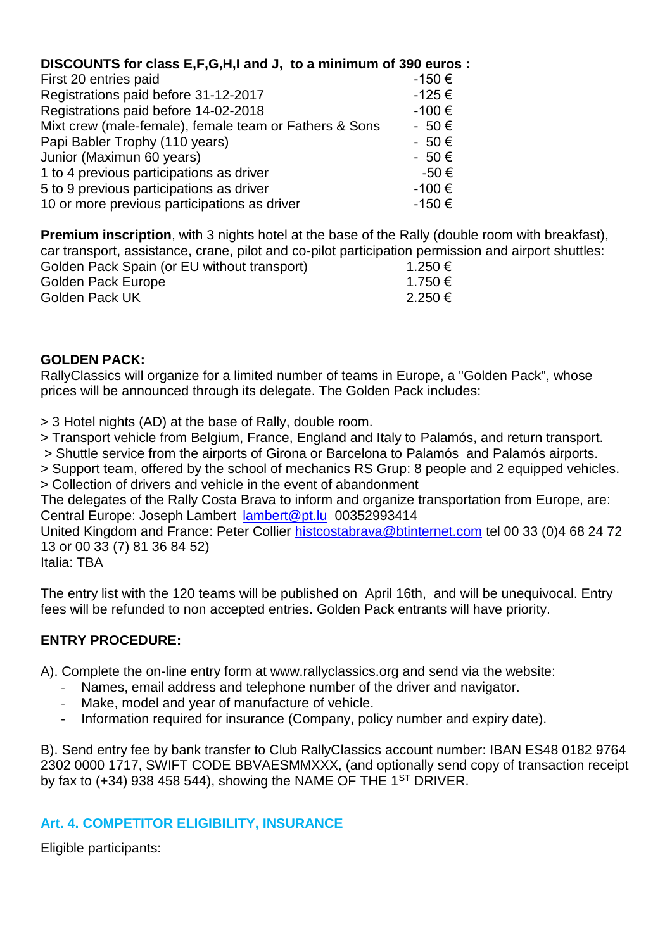# **DISCOUNTS for class E,F,G,H,I and J, to a minimum of 390 euros :**

| First 20 entries paid                                  | -150€      |
|--------------------------------------------------------|------------|
| Registrations paid before 31-12-2017                   | $-125 \in$ |
| Registrations paid before 14-02-2018                   | -100€      |
| Mixt crew (male-female), female team or Fathers & Sons | $-50 \in$  |
| Papi Babler Trophy (110 years)                         | $-50 \in$  |
| Junior (Maximun 60 years)                              | $-50 \in$  |
| 1 to 4 previous participations as driver               | -50€       |
| 5 to 9 previous participations as driver               | -100€      |
| 10 or more previous participations as driver           | -150€      |

**Premium inscription**, with 3 nights hotel at the base of the Rally (double room with breakfast), car transport, assistance, crane, pilot and co-pilot participation permission and airport shuttles: Golden Pack Spain (or EU without transport)  $1.250 \in$ 

| Golden Pack Europe | 1.750 € |
|--------------------|---------|
| Golden Pack UK     | 2.250 € |
|                    |         |

## **GOLDEN PACK:**

RallyClassics will organize for a limited number of teams in Europe, a "Golden Pack", whose prices will be announced through its delegate. The Golden Pack includes:

> 3 Hotel nights (AD) at the base of Rally, double room.

> Transport vehicle from Belgium, France, England and Italy to Palamós, and return transport.

> Shuttle service from the airports of Girona or Barcelona to Palamós and Palamós airports.

> Support team, offered by the school of mechanics RS Grup: 8 people and 2 equipped vehicles. > Collection of drivers and vehicle in the event of abandonment

The delegates of the Rally Costa Brava to inform and organize transportation from Europe, are: Central Europe: Joseph Lambert [lambert@pt.lu](mailto:lambert@pt.lu) 00352993414

United Kingdom and France: Peter Collier [histcostabrava@btinternet.com](mailto:histcostabrava@btinternet.com) tel 00 33 (0)4 68 24 72 13 or 00 33 (7) 81 36 84 52)

Italia: TBA

The entry list with the 120 teams will be published on April 16th, and will be unequivocal. Entry fees will be refunded to non accepted entries. Golden Pack entrants will have priority.

# **ENTRY PROCEDURE:**

A). Complete the on-line entry form at www.rallyclassics.org and send via the website:

- Names, email address and telephone number of the driver and navigator.
- Make, model and year of manufacture of vehicle.
- Information required for insurance (Company, policy number and expiry date).

B). Send entry fee by bank transfer to Club RallyClassics account number: IBAN ES48 0182 9764 2302 0000 1717, SWIFT CODE BBVAESMMXXX, (and optionally send copy of transaction receipt by fax to  $(+34)$  938 458 544), showing the NAME OF THE 1<sup>ST</sup> DRIVER.

# **Art. 4. COMPETITOR ELIGIBILITY, INSURANCE**

Eligible participants: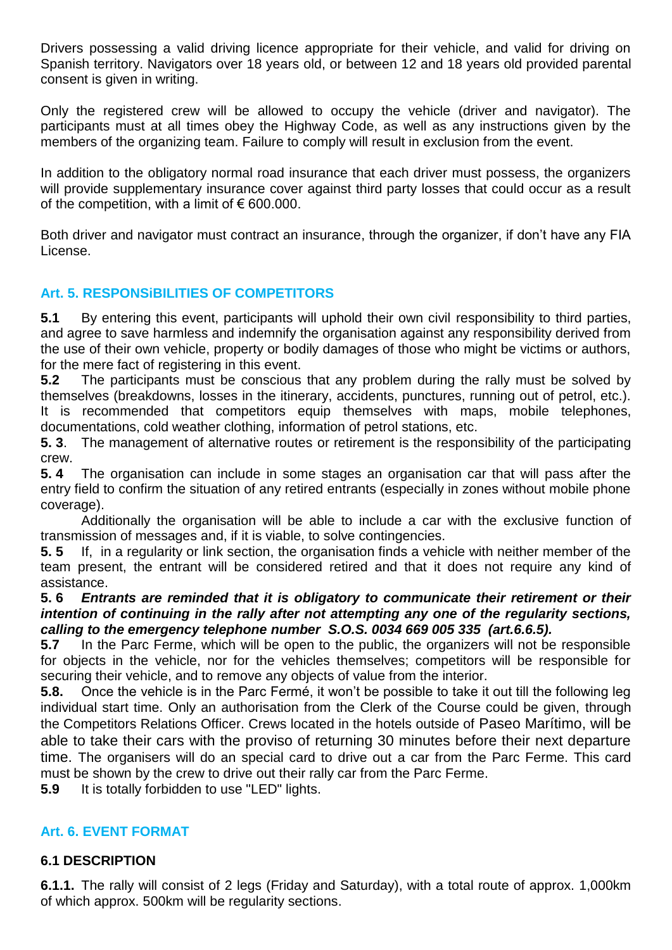Drivers possessing a valid driving licence appropriate for their vehicle, and valid for driving on Spanish territory. Navigators over 18 years old, or between 12 and 18 years old provided parental consent is given in writing.

Only the registered crew will be allowed to occupy the vehicle (driver and navigator). The participants must at all times obey the Highway Code, as well as any instructions given by the members of the organizing team. Failure to comply will result in exclusion from the event.

In addition to the obligatory normal road insurance that each driver must possess, the organizers will provide supplementary insurance cover against third party losses that could occur as a result of the competition, with a limit of  $\epsilon$  600.000.

Both driver and navigator must contract an insurance, through the organizer, if don't have any FIA License.

# **Art. 5. RESPONSiBILITIES OF COMPETITORS**

**5.1** By entering this event, participants will uphold their own civil responsibility to third parties, and agree to save harmless and indemnify the organisation against any responsibility derived from the use of their own vehicle, property or bodily damages of those who might be victims or authors, for the mere fact of registering in this event.

**5.2** The participants must be conscious that any problem during the rally must be solved by themselves (breakdowns, losses in the itinerary, accidents, punctures, running out of petrol, etc.). It is recommended that competitors equip themselves with maps, mobile telephones, documentations, cold weather clothing, information of petrol stations, etc.

**5. 3**. The management of alternative routes or retirement is the responsibility of the participating crew.

**5. 4** The organisation can include in some stages an organisation car that will pass after the entry field to confirm the situation of any retired entrants (especially in zones without mobile phone coverage).

Additionally the organisation will be able to include a car with the exclusive function of transmission of messages and, if it is viable, to solve contingencies.

**5. 5** If, in a regularity or link section, the organisation finds a vehicle with neither member of the team present, the entrant will be considered retired and that it does not require any kind of assistance.

#### **5. 6** *Entrants are reminded that it is obligatory to communicate their retirement or their intention of continuing in the rally after not attempting any one of the regularity sections, calling to the emergency telephone number S.O.S. 0034 669 005 335 (art.6.6.5).*

**5.7** In the Parc Ferme, which will be open to the public, the organizers will not be responsible for objects in the vehicle, nor for the vehicles themselves; competitors will be responsible for securing their vehicle, and to remove any objects of value from the interior.

**5.8.** Once the vehicle is in the Parc Fermé, it won't be possible to take it out till the following leg individual start time. Only an authorisation from the Clerk of the Course could be given, through the Competitors Relations Officer. Crews located in the hotels outside of Paseo Marítimo, will be able to take their cars with the proviso of returning 30 minutes before their next departure time. The organisers will do an special card to drive out a car from the Parc Ferme. This card must be shown by the crew to drive out their rally car from the Parc Ferme.

**5.9** It is totally forbidden to use "LED" lights.

# **Art. 6. EVENT FORMAT**

### **6.1 DESCRIPTION**

**6.1.1.** The rally will consist of 2 legs (Friday and Saturday), with a total route of approx. 1,000km of which approx. 500km will be regularity sections.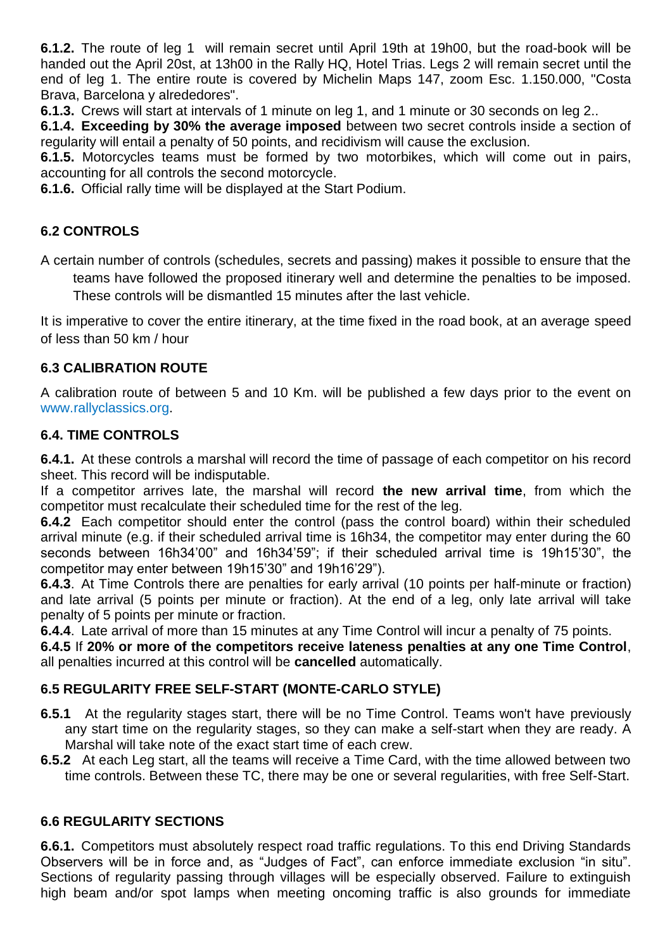**6.1.2.** The route of leg 1 will remain secret until April 19th at 19h00, but the road-book will be handed out the April 20st, at 13h00 in the Rally HQ, Hotel Trias. Legs 2 will remain secret until the end of leg 1. The entire route is covered by Michelin Maps 147, zoom Esc. 1.150.000, "Costa Brava, Barcelona y alrededores".

**6.1.3.** Crews will start at intervals of 1 minute on leg 1, and 1 minute or 30 seconds on leg 2..

**6.1.4. Exceeding by 30% the average imposed** between two secret controls inside a section of regularity will entail a penalty of 50 points, and recidivism will cause the exclusion.

**6.1.5.** Motorcycles teams must be formed by two motorbikes, which will come out in pairs, accounting for all controls the second motorcycle.

**6.1.6.** Official rally time will be displayed at the Start Podium.

# **6.2 CONTROLS**

A certain number of controls (schedules, secrets and passing) makes it possible to ensure that the teams have followed the proposed itinerary well and determine the penalties to be imposed. These controls will be dismantled 15 minutes after the last vehicle.

It is imperative to cover the entire itinerary, at the time fixed in the road book, at an average speed of less than 50 km / hour

# **6.3 CALIBRATION ROUTE**

A calibration route of between 5 and 10 Km. will be published a few days prior to the event on www.rallyclassics.org.

# **6.4. TIME CONTROLS**

**6.4.1.** At these controls a marshal will record the time of passage of each competitor on his record sheet. This record will be indisputable.

If a competitor arrives late, the marshal will record **the new arrival time**, from which the competitor must recalculate their scheduled time for the rest of the leg.

**6.4.2** Each competitor should enter the control (pass the control board) within their scheduled arrival minute (e.g. if their scheduled arrival time is 16h34, the competitor may enter during the 60 seconds between 16h34'00" and 16h34'59"; if their scheduled arrival time is 19h15'30", the competitor may enter between 19h15'30" and 19h16'29").

**6.4.3**. At Time Controls there are penalties for early arrival (10 points per half-minute or fraction) and late arrival (5 points per minute or fraction). At the end of a leg, only late arrival will take penalty of 5 points per minute or fraction.

**6.4.4**. Late arrival of more than 15 minutes at any Time Control will incur a penalty of 75 points.

**6.4.5** If **20% or more of the competitors receive lateness penalties at any one Time Control**, all penalties incurred at this control will be **cancelled** automatically.

# **6.5 REGULARITY FREE SELF-START (MONTE-CARLO STYLE)**

- **6.5.1** At the regularity stages start, there will be no Time Control. Teams won't have previously any start time on the regularity stages, so they can make a self-start when they are ready. A Marshal will take note of the exact start time of each crew.
- **6.5.2** At each Leg start, all the teams will receive a Time Card, with the time allowed between two time controls. Between these TC, there may be one or several regularities, with free Self-Start.

# **6.6 REGULARITY SECTIONS**

**6.6.1.** Competitors must absolutely respect road traffic regulations. To this end Driving Standards Observers will be in force and, as "Judges of Fact", can enforce immediate exclusion "in situ". Sections of regularity passing through villages will be especially observed. Failure to extinguish high beam and/or spot lamps when meeting oncoming traffic is also grounds for immediate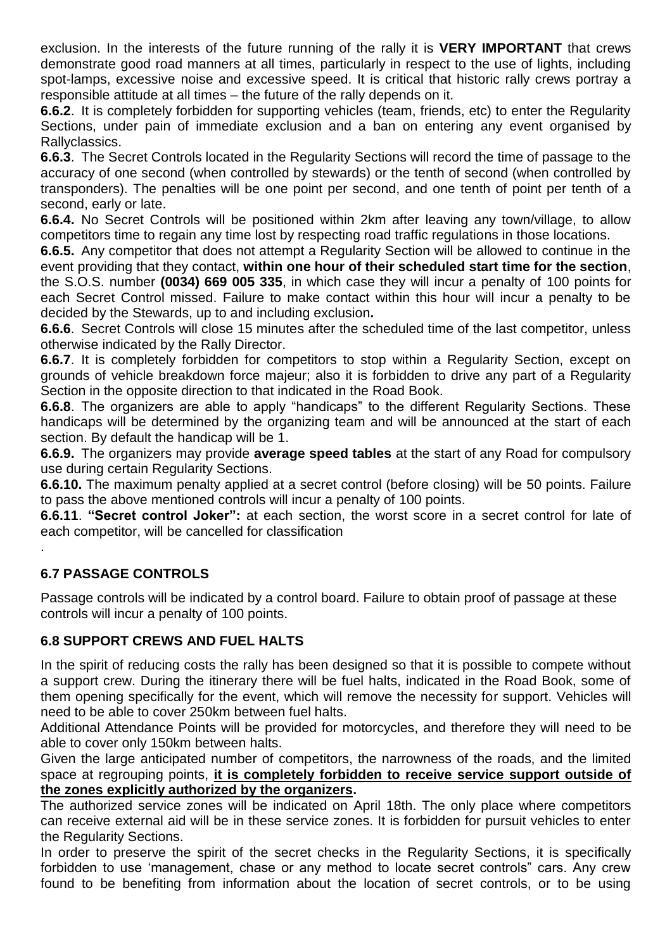exclusion. In the interests of the future running of the rally it is **VERY IMPORTANT** that crews demonstrate good road manners at all times, particularly in respect to the use of lights, including spot-lamps, excessive noise and excessive speed. It is critical that historic rally crews portray a responsible attitude at all times – the future of the rally depends on it.

**6.6.2**. It is completely forbidden for supporting vehicles (team, friends, etc) to enter the Regularity Sections, under pain of immediate exclusion and a ban on entering any event organised by Rallyclassics.

**6.6.3**. The Secret Controls located in the Regularity Sections will record the time of passage to the accuracy of one second (when controlled by stewards) or the tenth of second (when controlled by transponders). The penalties will be one point per second, and one tenth of point per tenth of a second, early or late.

**6.6.4.** No Secret Controls will be positioned within 2km after leaving any town/village, to allow competitors time to regain any time lost by respecting road traffic regulations in those locations.

**6.6.5.** Any competitor that does not attempt a Regularity Section will be allowed to continue in the event providing that they contact, **within one hour of their scheduled start time for the section**, the S.O.S. number **(0034) 669 005 335**, in which case they will incur a penalty of 100 points for each Secret Control missed. Failure to make contact within this hour will incur a penalty to be decided by the Stewards, up to and including exclusion*.*

**6.6.6**. Secret Controls will close 15 minutes after the scheduled time of the last competitor, unless otherwise indicated by the Rally Director.

**6.6.7**. It is completely forbidden for competitors to stop within a Regularity Section, except on grounds of vehicle breakdown force majeur; also it is forbidden to drive any part of a Regularity Section in the opposite direction to that indicated in the Road Book.

**6.6.8**. The organizers are able to apply "handicaps" to the different Regularity Sections. These handicaps will be determined by the organizing team and will be announced at the start of each section. By default the handicap will be 1.

**6.6.9.** The organizers may provide **average speed tables** at the start of any Road for compulsory use during certain Regularity Sections.

**6.6.10.** The maximum penalty applied at a secret control (before closing) will be 50 points. Failure to pass the above mentioned controls will incur a penalty of 100 points.

**6.6.11**. **"Secret control Joker":** at each section, the worst score in a secret control for late of each competitor, will be cancelled for classification

# **6.7 PASSAGE CONTROLS**

.

Passage controls will be indicated by a control board. Failure to obtain proof of passage at these controls will incur a penalty of 100 points.

# **6.8 SUPPORT CREWS AND FUEL HALTS**

In the spirit of reducing costs the rally has been designed so that it is possible to compete without a support crew. During the itinerary there will be fuel halts, indicated in the Road Book, some of them opening specifically for the event, which will remove the necessity for support. Vehicles will need to be able to cover 250km between fuel halts.

Additional Attendance Points will be provided for motorcycles, and therefore they will need to be able to cover only 150km between halts.

Given the large anticipated number of competitors, the narrowness of the roads, and the limited space at regrouping points, **it is completely forbidden to receive service support outside of the zones explicitly authorized by the organizers.**

The authorized service zones will be indicated on April 18th. The only place where competitors can receive external aid will be in these service zones. It is forbidden for pursuit vehicles to enter the Regularity Sections.

In order to preserve the spirit of the secret checks in the Regularity Sections, it is specifically forbidden to use 'management, chase or any method to locate secret controls" cars. Any crew found to be benefiting from information about the location of secret controls, or to be using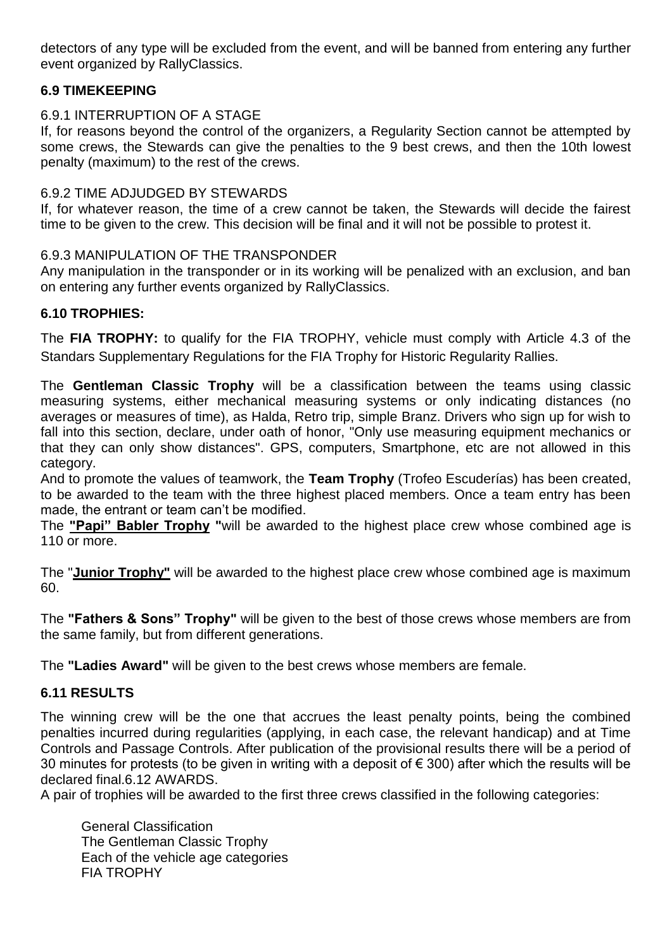detectors of any type will be excluded from the event, and will be banned from entering any further event organized by RallyClassics.

# **6.9 TIMEKEEPING**

## 6.9.1 INTERRUPTION OF A STAGE

If, for reasons beyond the control of the organizers, a Regularity Section cannot be attempted by some crews, the Stewards can give the penalties to the 9 best crews, and then the 10th lowest penalty (maximum) to the rest of the crews.

#### 6.9.2 TIME ADJUDGED BY STEWARDS

If, for whatever reason, the time of a crew cannot be taken, the Stewards will decide the fairest time to be given to the crew. This decision will be final and it will not be possible to protest it.

### 6.9.3 MANIPULATION OF THE TRANSPONDER

Any manipulation in the transponder or in its working will be penalized with an exclusion, and ban on entering any further events organized by RallyClassics.

### **6.10 TROPHIES:**

The **FIA TROPHY:** to qualify for the FIA TROPHY, vehicle must comply with Article 4.3 of the Standars Supplementary Regulations for the FIA Trophy for Historic Regularity Rallies.

The **Gentleman Classic Trophy** will be a classification between the teams using classic measuring systems, either mechanical measuring systems or only indicating distances (no averages or measures of time), as Halda, Retro trip, simple Branz. Drivers who sign up for wish to fall into this section, declare, under oath of honor, "Only use measuring equipment mechanics or that they can only show distances". GPS, computers, Smartphone, etc are not allowed in this category.

And to promote the values of teamwork, the **Team Trophy** (Trofeo Escuderías) has been created, to be awarded to the team with the three highest placed members. Once a team entry has been made, the entrant or team can't be modified.

The **"Papi" Babler Trophy "**will be awarded to the highest place crew whose combined age is 110 or more.

The "**Junior Trophy"** will be awarded to the highest place crew whose combined age is maximum 60.

The **"Fathers & Sons" Trophy"** will be given to the best of those crews whose members are from the same family, but from different generations.

The **"Ladies Award"** will be given to the best crews whose members are female.

# **6.11 RESULTS**

The winning crew will be the one that accrues the least penalty points, being the combined penalties incurred during regularities (applying, in each case, the relevant handicap) and at Time Controls and Passage Controls. After publication of the provisional results there will be a period of 30 minutes for protests (to be given in writing with a deposit of € 300) after which the results will be declared final.6.12 AWARDS.

A pair of trophies will be awarded to the first three crews classified in the following categories:

General Classification The Gentleman Classic Trophy Each of the vehicle age categories FIA TROPHY